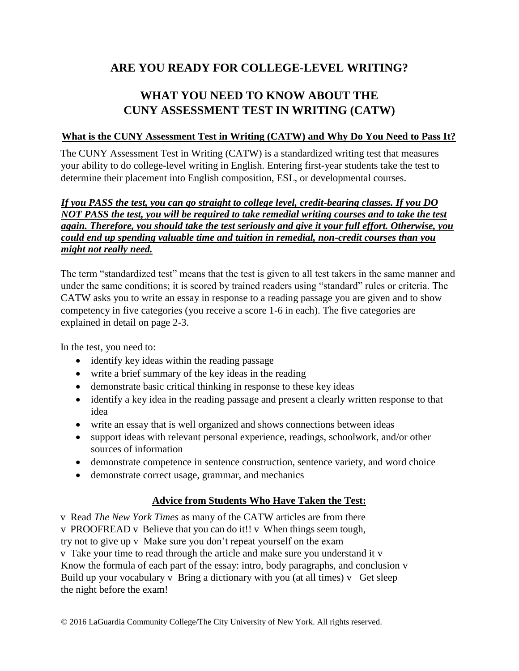## **ARE YOU READY FOR COLLEGE-LEVEL WRITING?**

# **WHAT YOU NEED TO KNOW ABOUT THE CUNY ASSESSMENT TEST IN WRITING (CATW)**

## **What is the CUNY Assessment Test in Writing (CATW) and Why Do You Need to Pass It?**

The CUNY Assessment Test in Writing (CATW) is a standardized writing test that measures your ability to do college-level writing in English. Entering first-year students take the test to determine their placement into English composition, ESL, or developmental courses.

## *If you PASS the test, you can go straight to college level, credit-bearing classes. If you DO NOT PASS the test, you will be required to take remedial writing courses and to take the test again. Therefore, you should take the test seriously and give it your full effort. Otherwise, you could end up spending valuable time and tuition in remedial, non-credit courses than you might not really need.*

The term "standardized test" means that the test is given to all test takers in the same manner and under the same conditions; it is scored by trained readers using "standard" rules or criteria. The CATW asks you to write an essay in response to a reading passage you are given and to show competency in five categories (you receive a score 1-6 in each). The five categories are explained in detail on page 2-3.

In the test, you need to:

- identify key ideas within the reading passage
- write a brief summary of the key ideas in the reading
- demonstrate basic critical thinking in response to these key ideas
- identify a key idea in the reading passage and present a clearly written response to that idea
- write an essay that is well organized and shows connections between ideas
- support ideas with relevant personal experience, readings, schoolwork, and/or other sources of information
- demonstrate competence in sentence construction, sentence variety, and word choice
- demonstrate correct usage, grammar, and mechanics

## **Advice from Students Who Have Taken the Test:**

v Read *The New York Times* as many of the CATW articles are from there

v PROOFREAD v Believe that you can do it!! v When things seem tough,

try not to give up v Make sure you don't repeat yourself on the exam

v Take your time to read through the article and make sure you understand it v Know the formula of each part of the essay: intro, body paragraphs, and conclusion v Build up your vocabulary v Bring a dictionary with you (at all times) v Get sleep the night before the exam!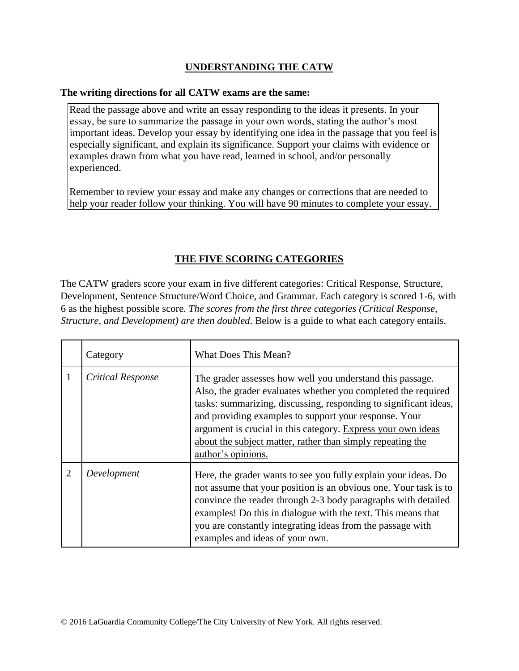## **UNDERSTANDING THE CATW**

#### **The writing directions for all CATW exams are the same:**

Read the passage above and write an essay responding to the ideas it presents. In your essay, be sure to summarize the passage in your own words, stating the author's most important ideas. Develop your essay by identifying one idea in the passage that you feel is especially significant, and explain its significance. Support your claims with evidence or examples drawn from what you have read, learned in school, and/or personally experienced.

Remember to review your essay and make any changes or corrections that are needed to help your reader follow your thinking. You will have 90 minutes to complete your essay.

## **THE FIVE SCORING CATEGORIES**

The CATW graders score your exam in five different categories: Critical Response, Structure, Development, Sentence Structure/Word Choice, and Grammar. Each category is scored 1-6, with 6 as the highest possible score. *The scores from the first three categories (Critical Response, Structure, and Development) are then doubled*. Below is a guide to what each category entails.

|                | Category                 | What Does This Mean?                                                                                                                                                                                                                                                                                                                                                                                        |
|----------------|--------------------------|-------------------------------------------------------------------------------------------------------------------------------------------------------------------------------------------------------------------------------------------------------------------------------------------------------------------------------------------------------------------------------------------------------------|
|                | <b>Critical Response</b> | The grader assesses how well you understand this passage.<br>Also, the grader evaluates whether you completed the required<br>tasks: summarizing, discussing, responding to significant ideas,<br>and providing examples to support your response. Your<br>argument is crucial in this category. Express your own ideas<br>about the subject matter, rather than simply repeating the<br>author's opinions. |
| $\overline{2}$ | Development              | Here, the grader wants to see you fully explain your ideas. Do<br>not assume that your position is an obvious one. Your task is to<br>convince the reader through 2-3 body paragraphs with detailed<br>examples! Do this in dialogue with the text. This means that<br>you are constantly integrating ideas from the passage with<br>examples and ideas of your own.                                        |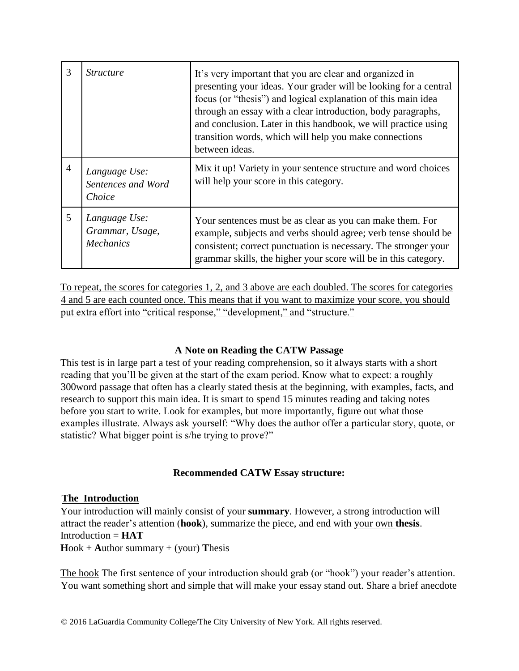| 3              | <i><u>Structure</u></i>                              | It's very important that you are clear and organized in<br>presenting your ideas. Your grader will be looking for a central<br>focus (or "thesis") and logical explanation of this main idea<br>through an essay with a clear introduction, body paragraphs,<br>and conclusion. Later in this handbook, we will practice using<br>transition words, which will help you make connections<br>between ideas. |
|----------------|------------------------------------------------------|------------------------------------------------------------------------------------------------------------------------------------------------------------------------------------------------------------------------------------------------------------------------------------------------------------------------------------------------------------------------------------------------------------|
| $\overline{4}$ | Language Use:<br>Sentences and Word<br>Choice        | Mix it up! Variety in your sentence structure and word choices<br>will help your score in this category.                                                                                                                                                                                                                                                                                                   |
| 5              | Language Use:<br>Grammar, Usage,<br><b>Mechanics</b> | Your sentences must be as clear as you can make them. For<br>example, subjects and verbs should agree; verb tense should be<br>consistent; correct punctuation is necessary. The stronger your<br>grammar skills, the higher your score will be in this category.                                                                                                                                          |

To repeat, the scores for categories 1, 2, and 3 above are each doubled. The scores for categories 4 and 5 are each counted once. This means that if you want to maximize your score, you should put extra effort into "critical response," "development," and "structure."

## **A Note on Reading the CATW Passage**

This test is in large part a test of your reading comprehension, so it always starts with a short reading that you'll be given at the start of the exam period. Know what to expect: a roughly 300word passage that often has a clearly stated thesis at the beginning, with examples, facts, and research to support this main idea. It is smart to spend 15 minutes reading and taking notes before you start to write. Look for examples, but more importantly, figure out what those examples illustrate. Always ask yourself: "Why does the author offer a particular story, quote, or statistic? What bigger point is s/he trying to prove?"

#### **Recommended CATW Essay structure:**

#### **The Introduction**

Your introduction will mainly consist of your **summary**. However, a strong introduction will attract the reader's attention (**hook**), summarize the piece, and end with your own **thesis**.  $Introduction = **HAT**$  $Hook + Author summary + (your)$  Thesis

The hook The first sentence of your introduction should grab (or "hook") your reader's attention. You want something short and simple that will make your essay stand out. Share a brief anecdote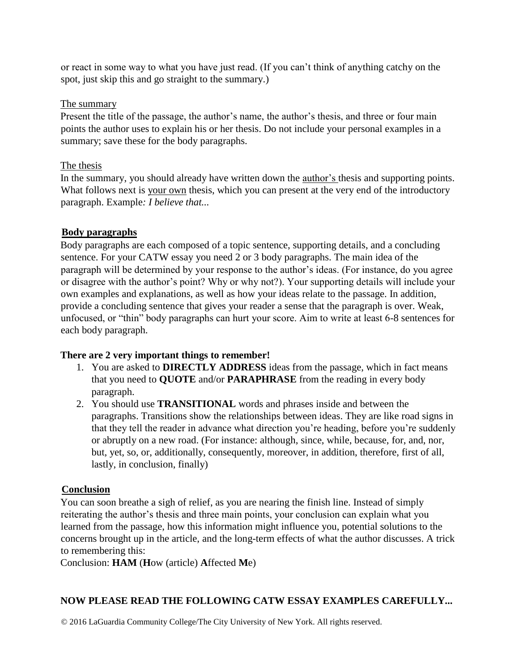or react in some way to what you have just read. (If you can't think of anything catchy on the spot, just skip this and go straight to the summary.)

## The summary

Present the title of the passage, the author's name, the author's thesis, and three or four main points the author uses to explain his or her thesis. Do not include your personal examples in a summary; save these for the body paragraphs.

## The thesis

In the summary, you should already have written down the author's thesis and supporting points. What follows next is your own thesis, which you can present at the very end of the introductory paragraph. Example*: I believe that...* 

## **Body paragraphs**

Body paragraphs are each composed of a topic sentence, supporting details, and a concluding sentence. For your CATW essay you need 2 or 3 body paragraphs. The main idea of the paragraph will be determined by your response to the author's ideas. (For instance, do you agree or disagree with the author's point? Why or why not?). Your supporting details will include your own examples and explanations, as well as how your ideas relate to the passage. In addition, provide a concluding sentence that gives your reader a sense that the paragraph is over. Weak, unfocused, or "thin" body paragraphs can hurt your score. Aim to write at least 6-8 sentences for each body paragraph.

## **There are 2 very important things to remember!**

- 1. You are asked to **DIRECTLY ADDRESS** ideas from the passage, which in fact means that you need to **QUOTE** and/or **PARAPHRASE** from the reading in every body paragraph.
- 2. You should use **TRANSITIONAL** words and phrases inside and between the paragraphs. Transitions show the relationships between ideas. They are like road signs in that they tell the reader in advance what direction you're heading, before you're suddenly or abruptly on a new road. (For instance: although, since, while, because, for, and, nor, but, yet, so, or, additionally, consequently, moreover, in addition, therefore, first of all, lastly, in conclusion, finally)

## **Conclusion**

You can soon breathe a sigh of relief, as you are nearing the finish line. Instead of simply reiterating the author's thesis and three main points, your conclusion can explain what you learned from the passage, how this information might influence you, potential solutions to the concerns brought up in the article, and the long-term effects of what the author discusses. A trick to remembering this:

Conclusion: **HAM** (**H**ow (article) **A**ffected **M**e)

## **NOW PLEASE READ THE FOLLOWING CATW ESSAY EXAMPLES CAREFULLY...**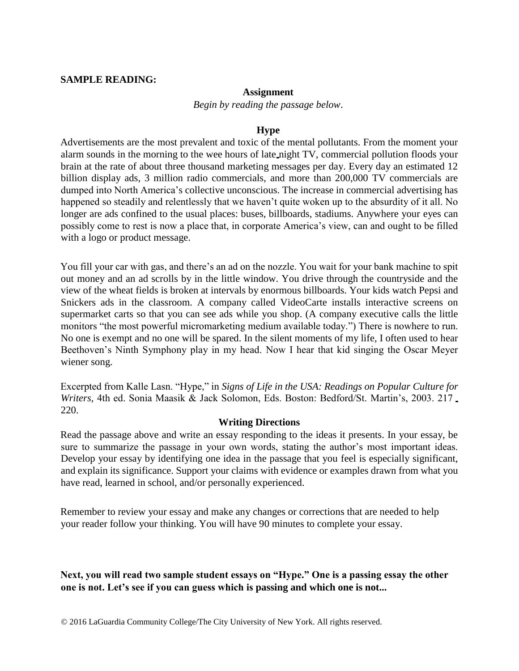#### **SAMPLE READING:**

#### **Assignment**

*Begin by reading the passage below*.

#### **Hype**

Advertisements are the most prevalent and toxic of the mental pollutants. From the moment your alarm sounds in the morning to the wee hours of late night TV, commercial pollution floods your brain at the rate of about three thousand marketing messages per day. Every day an estimated 12 billion display ads, 3 million radio commercials, and more than 200,000 TV commercials are dumped into North America's collective unconscious. The increase in commercial advertising has happened so steadily and relentlessly that we haven't quite woken up to the absurdity of it all. No longer are ads confined to the usual places: buses, billboards, stadiums. Anywhere your eyes can possibly come to rest is now a place that, in corporate America's view, can and ought to be filled with a logo or product message.

You fill your car with gas, and there's an ad on the nozzle. You wait for your bank machine to spit out money and an ad scrolls by in the little window. You drive through the countryside and the view of the wheat fields is broken at intervals by enormous billboards. Your kids watch Pepsi and Snickers ads in the classroom. A company called VideoCarte installs interactive screens on supermarket carts so that you can see ads while you shop. (A company executive calls the little monitors "the most powerful micromarketing medium available today.") There is nowhere to run. No one is exempt and no one will be spared. In the silent moments of my life, I often used to hear Beethoven's Ninth Symphony play in my head. Now I hear that kid singing the Oscar Meyer wiener song.

Excerpted from Kalle Lasn. "Hype," in *Signs of Life in the USA: Readings on Popular Culture for Writers,* 4th ed. Sonia Maasik & Jack Solomon, Eds. Boston: Bedford/St. Martin's, 2003. 217 220.

#### **Writing Directions**

Read the passage above and write an essay responding to the ideas it presents. In your essay, be sure to summarize the passage in your own words, stating the author's most important ideas. Develop your essay by identifying one idea in the passage that you feel is especially significant, and explain its significance. Support your claims with evidence or examples drawn from what you have read, learned in school, and/or personally experienced.

Remember to review your essay and make any changes or corrections that are needed to help your reader follow your thinking. You will have 90 minutes to complete your essay.

## **Next, you will read two sample student essays on "Hype." One is a passing essay the other one is not. Let's see if you can guess which is passing and which one is not...**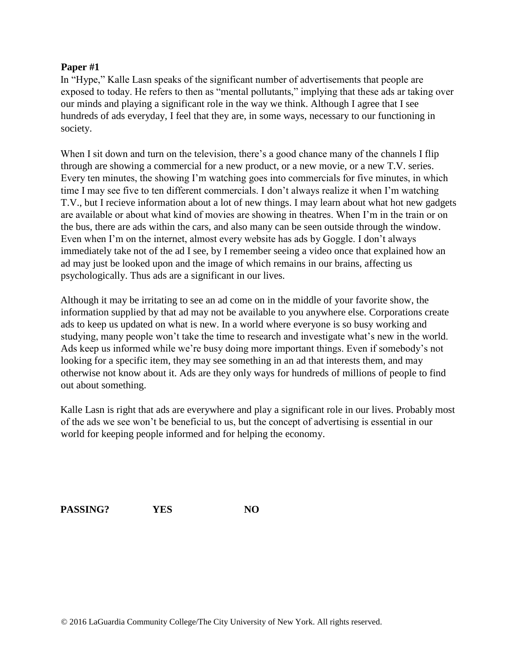#### **Paper #1**

In "Hype," Kalle Lasn speaks of the significant number of advertisements that people are exposed to today. He refers to then as "mental pollutants," implying that these ads ar taking over our minds and playing a significant role in the way we think. Although I agree that I see hundreds of ads everyday, I feel that they are, in some ways, necessary to our functioning in society.

When I sit down and turn on the television, there's a good chance many of the channels I flip through are showing a commercial for a new product, or a new movie, or a new T.V. series. Every ten minutes, the showing I'm watching goes into commercials for five minutes, in which time I may see five to ten different commercials. I don't always realize it when I'm watching T.V., but I recieve information about a lot of new things. I may learn about what hot new gadgets are available or about what kind of movies are showing in theatres. When I'm in the train or on the bus, there are ads within the cars, and also many can be seen outside through the window. Even when I'm on the internet, almost every website has ads by Goggle. I don't always immediately take not of the ad I see, by I remember seeing a video once that explained how an ad may just be looked upon and the image of which remains in our brains, affecting us psychologically. Thus ads are a significant in our lives.

Although it may be irritating to see an ad come on in the middle of your favorite show, the information supplied by that ad may not be available to you anywhere else. Corporations create ads to keep us updated on what is new. In a world where everyone is so busy working and studying, many people won't take the time to research and investigate what's new in the world. Ads keep us informed while we're busy doing more important things. Even if somebody's not looking for a specific item, they may see something in an ad that interests them, and may otherwise not know about it. Ads are they only ways for hundreds of millions of people to find out about something.

Kalle Lasn is right that ads are everywhere and play a significant role in our lives. Probably most of the ads we see won't be beneficial to us, but the concept of advertising is essential in our world for keeping people informed and for helping the economy.

PASSING? **YES** NO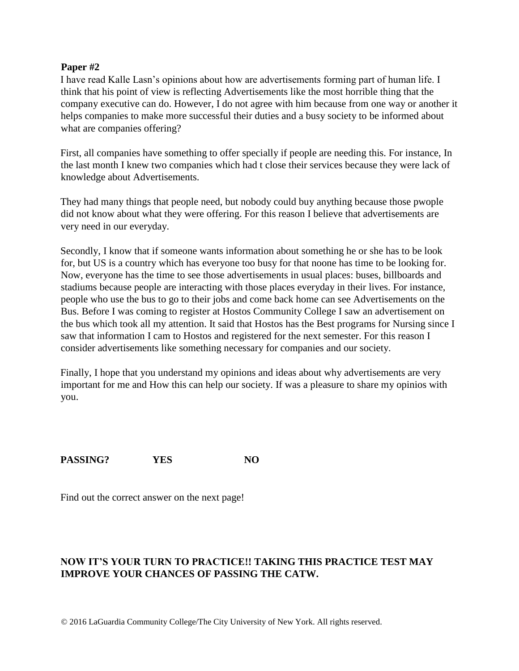#### **Paper #2**

I have read Kalle Lasn's opinions about how are advertisements forming part of human life. I think that his point of view is reflecting Advertisements like the most horrible thing that the company executive can do. However, I do not agree with him because from one way or another it helps companies to make more successful their duties and a busy society to be informed about what are companies offering?

First, all companies have something to offer specially if people are needing this. For instance, In the last month I knew two companies which had t close their services because they were lack of knowledge about Advertisements.

They had many things that people need, but nobody could buy anything because those pwople did not know about what they were offering. For this reason I believe that advertisements are very need in our everyday.

Secondly, I know that if someone wants information about something he or she has to be look for, but US is a country which has everyone too busy for that noone has time to be looking for. Now, everyone has the time to see those advertisements in usual places: buses, billboards and stadiums because people are interacting with those places everyday in their lives. For instance, people who use the bus to go to their jobs and come back home can see Advertisements on the Bus. Before I was coming to register at Hostos Community College I saw an advertisement on the bus which took all my attention. It said that Hostos has the Best programs for Nursing since I saw that information I cam to Hostos and registered for the next semester. For this reason I consider advertisements like something necessary for companies and our society.

Finally, I hope that you understand my opinions and ideas about why advertisements are very important for me and How this can help our society. If was a pleasure to share my opinios with you.

PASSING? YES NO

Find out the correct answer on the next page!

## **NOW IT'S YOUR TURN TO PRACTICE!! TAKING THIS PRACTICE TEST MAY IMPROVE YOUR CHANCES OF PASSING THE CATW.**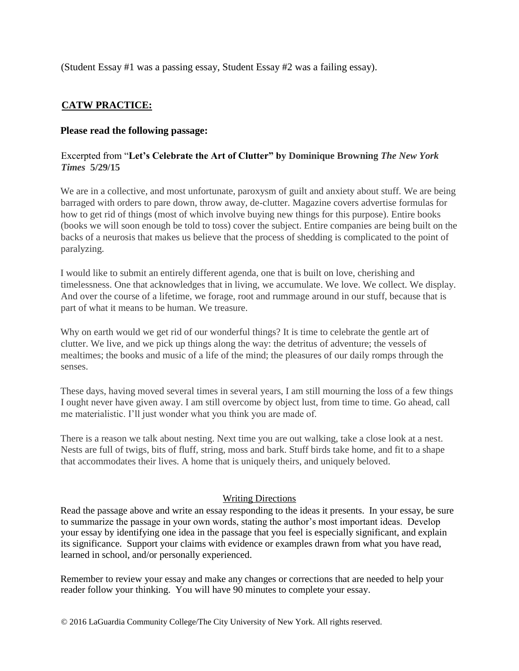(Student Essay #1 was a passing essay, Student Essay #2 was a failing essay).

## **CATW PRACTICE:**

#### **Please read the following passage:**

#### Excerpted from "**Let's Celebrate the Art of Clutter" by Dominique Browning** *The New York Times* **5/29/15**

We are in a collective, and most unfortunate, paroxysm of guilt and anxiety about stuff. We are being barraged with orders to pare down, throw away, de-clutter. Magazine covers advertise formulas for how to get rid of things (most of which involve buying new things for this purpose). Entire books (books we will soon enough be told to toss) cover the subject. Entire companies are being built on the backs of a neurosis that makes us believe that the process of shedding is complicated to the point of paralyzing.

I would like to submit an entirely different agenda, one that is built on love, cherishing and timelessness. One that acknowledges that in living, we accumulate. We love. We collect. We display. And over the course of a lifetime, we forage, root and rummage around in our stuff, because that is part of what it means to be human. We treasure.

Why on earth would we get rid of our wonderful things? It is time to celebrate the gentle art of clutter. We live, and we pick up things along the way: the detritus of adventure; the vessels of mealtimes; the books and music of a life of the mind; the pleasures of our daily romps through the senses.

These days, having moved several times in several years, I am still mourning the loss of a few things I ought never have given away. I am still overcome by object lust, from time to time. Go ahead, call me materialistic. I'll just wonder what you think you are made of.

There is a reason we talk about nesting. Next time you are out walking, take a close look at a nest. Nests are full of twigs, bits of fluff, string, moss and bark. Stuff birds take home, and fit to a shape that accommodates their lives. A home that is uniquely theirs, and uniquely beloved.

#### **Writing Directions**

Read the passage above and write an essay responding to the ideas it presents. In your essay, be sure to summarize the passage in your own words, stating the author's most important ideas. Develop your essay by identifying one idea in the passage that you feel is especially significant, and explain its significance. Support your claims with evidence or examples drawn from what you have read, learned in school, and/or personally experienced.

Remember to review your essay and make any changes or corrections that are needed to help your reader follow your thinking. You will have 90 minutes to complete your essay.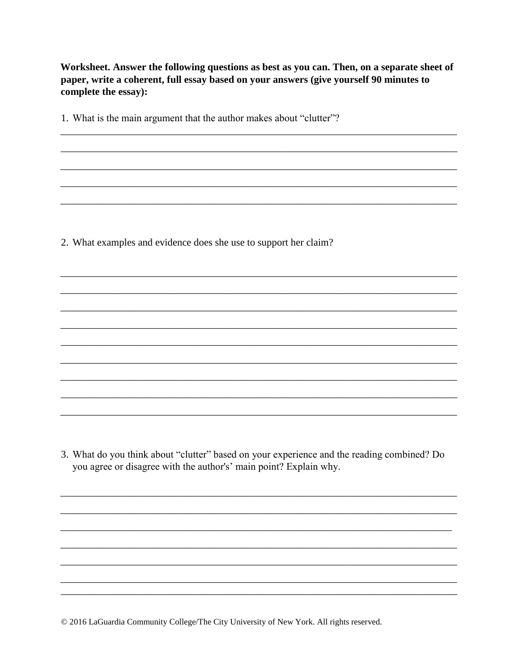Worksheet. Answer the following questions as best as you can. Then, on a separate sheet of paper, write a coherent, full essay based on your answers (give yourself 90 minutes to complete the essay):

1. What is the main argument that the author makes about "clutter"?

2. What examples and evidence does she use to support her claim?

3. What do you think about "clutter" based on your experience and the reading combined? Do you agree or disagree with the author's' main point? Explain why.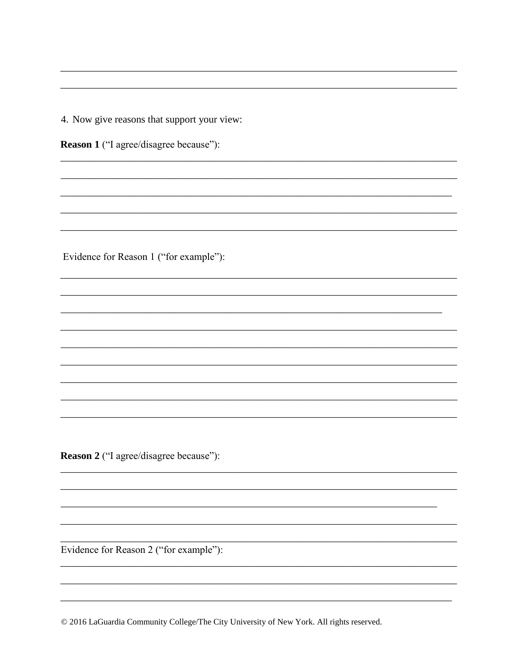4. Now give reasons that support your view:

Reason 1 ("I agree/disagree because"):

Evidence for Reason 1 ("for example"):

Reason 2 ("I agree/disagree because"):

Evidence for Reason 2 ("for example"):

© 2016 LaGuardia Community College/The City University of New York. All rights reserved.

 $\overline{\phantom{0}}$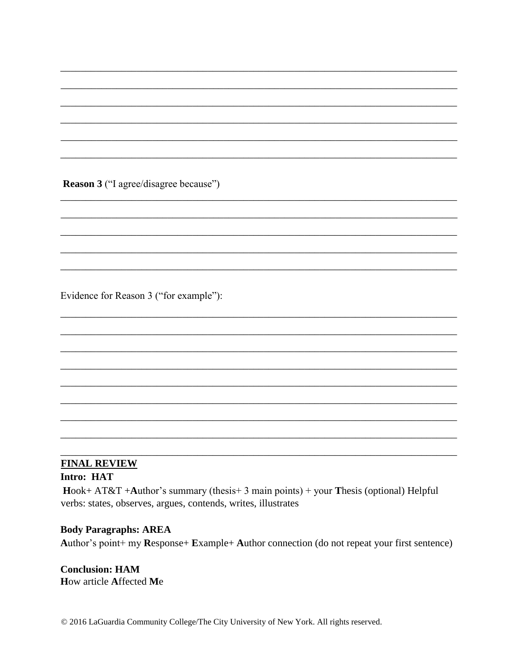Reason 3 ("I agree/disagree because")

Evidence for Reason 3 ("for example"):

# **FINAL REVIEW**

## Intro: HAT

 $Hook+AT&T+Author's summary (thesis+3 main points)+your Thesis (optional) Helpful$ verbs: states, observes, argues, contends, writes, illustrates

#### **Body Paragraphs: AREA**

Author's point+ my Response+ Example+ Author connection (do not repeat your first sentence)

**Conclusion: HAM** How article Affected Me